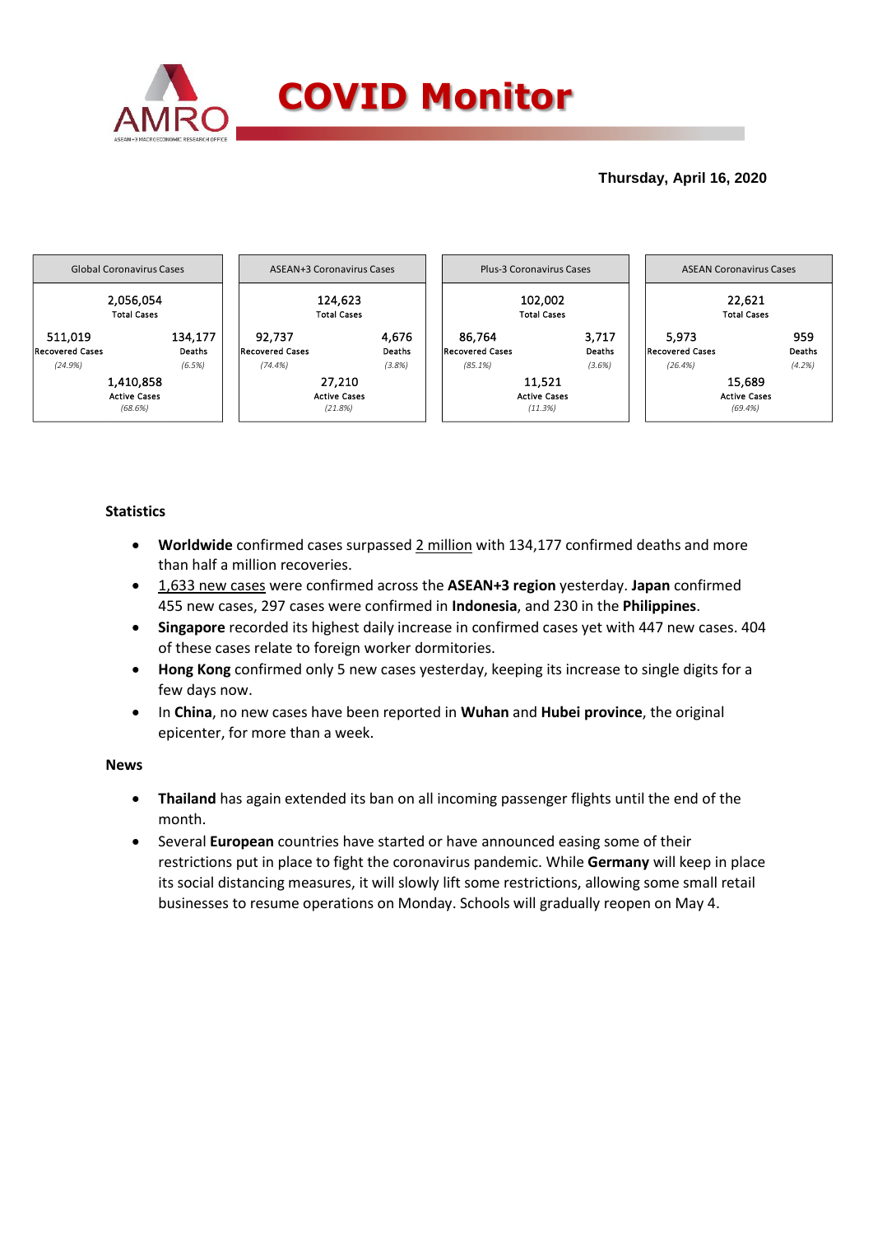

## **Thursday, April 16, 2020**



## **Statistics**

- **Worldwide** confirmed cases surpassed 2 million with 134,177 confirmed deaths and more than half a million recoveries.
- 1,633 new cases were confirmed across the **ASEAN+3 region** yesterday. **Japan** confirmed 455 new cases, 297 cases were confirmed in **Indonesia**, and 230 in the **Philippines**.
- **Singapore** recorded its highest daily increase in confirmed cases yet with 447 new cases. 404 of these cases relate to foreign worker dormitories.
- **Hong Kong** confirmed only 5 new cases yesterday, keeping its increase to single digits for a few days now.
- In **China**, no new cases have been reported in **Wuhan** and **Hubei province**, the original epicenter, for more than a week.

### **News**

- **Thailand** has again extended its ban on all incoming passenger flights until the end of the month.
- Several **European** countries have started or have announced easing some of their restrictions put in place to fight the coronavirus pandemic. While **Germany** will keep in place its social distancing measures, it will slowly lift some restrictions, allowing some small retail businesses to resume operations on Monday. Schools will gradually reopen on May 4.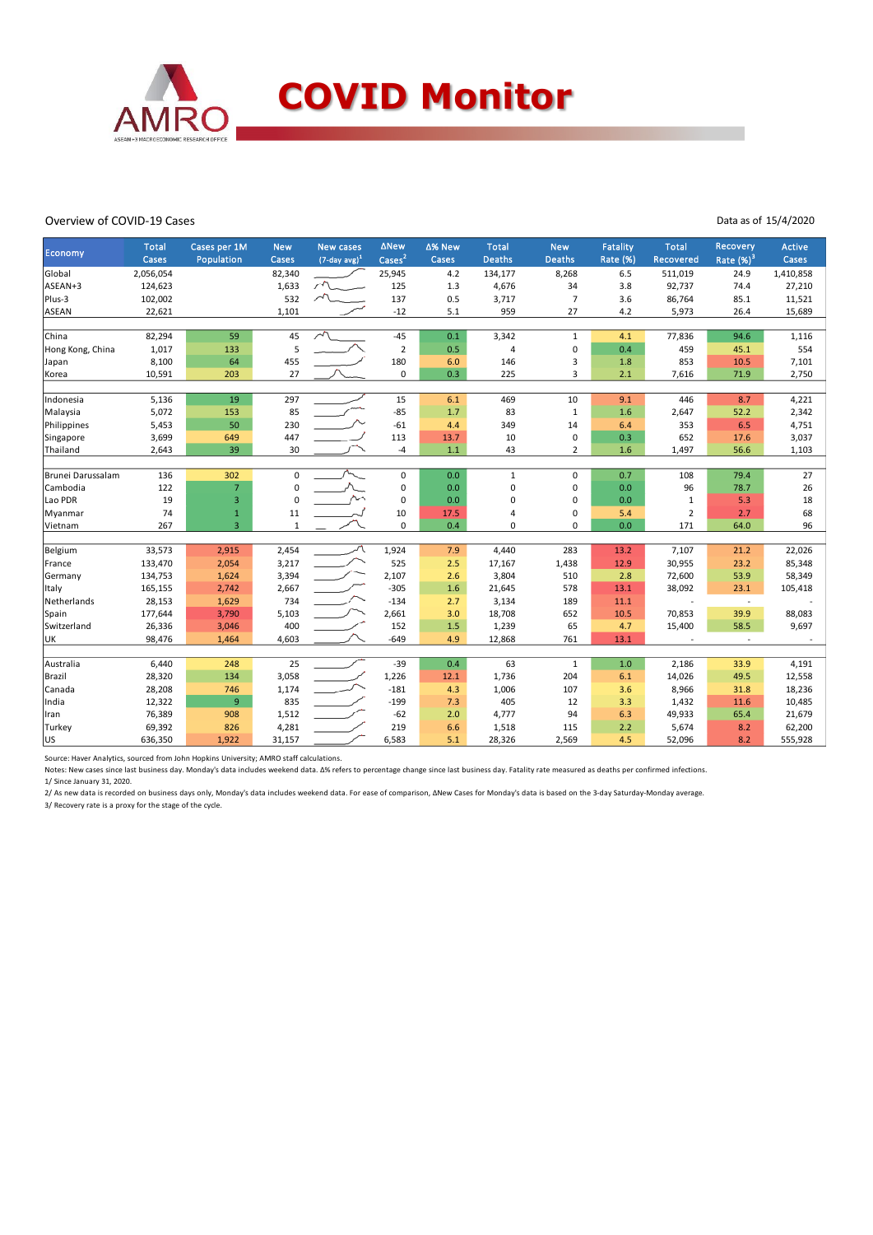

#### Overview of COVID-19 Cases

#### Data as of 15/4/2020

| Economy           | <b>Total</b> | Cases per 1M   | <b>New</b>   | <b>New cases</b>            | <b>ANew</b>    | ∆% New | <b>Total</b>  | <b>New</b>     | Fatality<br>Rate (%) | <b>Total</b>   | Recovery              | Active    |
|-------------------|--------------|----------------|--------------|-----------------------------|----------------|--------|---------------|----------------|----------------------|----------------|-----------------------|-----------|
|                   | Cases        | Population     | Cases        | $(7$ -day avg) <sup>1</sup> | $\text{Case}$  | Cases  | <b>Deaths</b> | <b>Deaths</b>  |                      | Recovered      | Rate (%) <sup>3</sup> | Cases     |
| Global            | 2,056,054    |                | 82,340       |                             | 25,945         | 4.2    | 134,177       | 8,268          | 6.5                  | 511,019        | 24.9                  | 1,410,858 |
| ASEAN+3           | 124,623      |                | 1,633        |                             | 125            | 1.3    | 4,676         | 34             | 3.8                  | 92,737         | 74.4                  | 27,210    |
| Plus-3            | 102,002      |                | 532          |                             | 137            | 0.5    | 3,717         | $\overline{7}$ | 3.6                  | 86,764         | 85.1                  | 11,521    |
| <b>ASEAN</b>      | 22,621       |                | 1,101        |                             | $-12$          | 5.1    | 959           | 27             | 4.2                  | 5,973          | 26.4                  | 15,689    |
| China             | 82,294       | 59             | 45           |                             | $-45$          | 0.1    | 3,342         | $\mathbf{1}$   | 4.1                  | 77,836         | 94.6                  | 1,116     |
| Hong Kong, China  | 1,017        | 133            | 5            |                             | $\overline{2}$ | 0.5    | 4             | $\mathbf 0$    | 0.4                  | 459            | 45.1                  | 554       |
|                   | 8,100        | 64             | 455          |                             | 180            | 6.0    | 146           | 3              | 1.8                  | 853            | 10.5                  | 7,101     |
| Japan             |              |                | 27           |                             | 0              | 0.3    |               | 3              |                      |                |                       |           |
| Korea             | 10,591       | 203            |              |                             |                |        | 225           |                | 2.1                  | 7,616          | 71.9                  | 2,750     |
| Indonesia         | 5,136        | 19             | 297          |                             | 15             | 6.1    | 469           | 10             | 9.1                  | 446            | 8.7                   | 4,221     |
| Malaysia          | 5,072        | 153            | 85           |                             | $-85$          | 1.7    | 83            | $\mathbf{1}$   | 1.6                  | 2,647          | 52.2                  | 2,342     |
| Philippines       | 5,453        | 50             | 230          |                             | $-61$          | 4.4    | 349           | 14             | 6.4                  | 353            | 6.5                   | 4,751     |
| Singapore         | 3,699        | 649            | 447          |                             | 113            | 13.7   | 10            | $\mathbf 0$    | 0.3                  | 652            | 17.6                  | 3,037     |
| Thailand          | 2,643        | 39             | 30           |                             | -4             | 1.1    | 43            | $\overline{2}$ | 1.6                  | 1,497          | 56.6                  | 1,103     |
|                   |              |                |              |                             |                |        |               |                |                      |                |                       |           |
| Brunei Darussalam | 136          | 302            | 0            |                             | $\pmb{0}$      | 0.0    | $\mathbf{1}$  | $\Omega$       | 0.7                  | 108            | 79.4                  | 27        |
| Cambodia          | 122          | $\overline{7}$ | 0            |                             | $\pmb{0}$      | 0.0    | 0             | $\mathbf 0$    | 0.0                  | 96             | 78.7                  | 26        |
| Lao PDR           | 19           | 3              | $\Omega$     |                             | 0              | 0.0    | 0             | $\mathbf 0$    | 0.0                  | 1              | 5.3                   | 18        |
| Myanmar           | 74           | $\mathbf{1}$   | 11           |                             | $10\,$         | 17.5   | 4             | $\mathbf 0$    | 5.4                  | $\overline{2}$ | 2.7                   | 68        |
| Vietnam           | 267          | $\overline{3}$ | $\mathbf{1}$ |                             | 0              | 0.4    | 0             | $\Omega$       | 0.0                  | 171            | 64.0                  | 96        |
|                   |              |                |              |                             |                |        |               |                |                      |                |                       |           |
| Belgium           | 33,573       | 2,915          | 2,454        |                             | 1,924          | 7.9    | 4,440         | 283            | 13.2                 | 7,107          | 21.2                  | 22,026    |
| France            | 133,470      | 2,054          | 3,217        |                             | 525            | 2.5    | 17,167        | 1,438          | 12.9                 | 30,955         | 23.2                  | 85,348    |
| Germany           | 134,753      | 1,624          | 3,394        |                             | 2,107          | 2.6    | 3,804         | 510            | 2.8                  | 72,600         | 53.9                  | 58,349    |
| Italy             | 165,155      | 2,742          | 2,667        |                             | $-305$         | 1.6    | 21,645        | 578            | 13.1                 | 38,092         | 23.1                  | 105,418   |
| Netherlands       | 28,153       | 1,629          | 734          |                             | $-134$         | 2.7    | 3,134         | 189            | 11.1                 |                | $\sim$                |           |
| Spain             | 177,644      | 3,790          | 5,103        |                             | 2,661          | 3.0    | 18,708        | 652            | 10.5                 | 70,853         | 39.9                  | 88,083    |
| Switzerland       | 26,336       | 3,046          | 400          |                             | 152            | 1.5    | 1,239         | 65             | 4.7                  | 15,400         | 58.5                  | 9,697     |
| UK                | 98,476       | 1,464          | 4,603        |                             | $-649$         | 4.9    | 12,868        | 761            | 13.1                 |                | $\sim$                |           |
|                   |              |                |              |                             |                |        |               |                |                      |                |                       |           |
| Australia         | 6,440        | 248            | 25           |                             | $-39$          | 0.4    | 63            | $\mathbf{1}$   | 1.0                  | 2,186          | 33.9                  | 4,191     |
| Brazil            | 28,320       | 134            | 3,058        |                             | 1,226          | 12.1   | 1,736         | 204            | 6.1                  | 14,026         | 49.5                  | 12,558    |
| Canada            | 28,208       | 746            | 1,174        |                             | $-181$         | 4.3    | 1,006         | 107            | 3.6                  | 8,966          | 31.8                  | 18,236    |
| India             | 12,322       | 9              | 835          |                             | $-199$         | 7.3    | 405           | 12             | 3.3                  | 1,432          | 11.6                  | 10,485    |
| Iran              | 76,389       | 908            | 1,512        |                             | $-62$          | 2.0    | 4,777         | 94             | 6.3                  | 49,933         | 65.4                  | 21,679    |
| Turkey            | 69,392       | 826            | 4,281        |                             | 219            | 6.6    | 1,518         | 115            | 2.2                  | 5,674          | 8.2                   | 62,200    |
| lus               | 636,350      | 1,922          | 31,157       |                             | 6,583          | 5.1    | 28,326        | 2,569          | 4.5                  | 52,096         | 8.2                   | 555,928   |

Source: Haver Analytics, sourced from John Hopkins University; AMRO staff calculations.

Notes: New cases since last business day. Monday's data includes weekend data. Δ% refers to percentage change since last business day. Fatality rate measured as deaths per confirmed infections. 1/ Since January 31, 2020.

2/ As new data is recorded on business days only, Monday's data includes weekend data. For ease of comparison, ΔNew Cases for Monday's data is based on the 3-day Saturday-Monday average. 3/ Recovery rate is a proxy for the stage of the cycle.